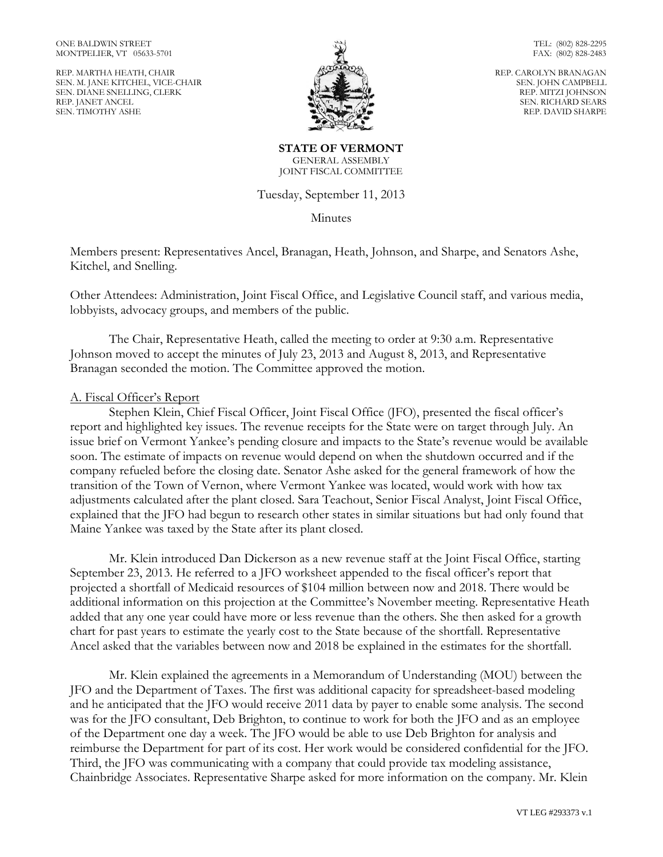REP. MARTHA HEATH, CHAIR SEN. M. JANE KITCHEL, VICE-CHAIR SEN. DIANE SNELLING, CLERK REP. JANET ANCEL SEN. TIMOTHY ASHE



TEL: (802) 828-2295 FAX: (802) 828-2483

REP. CAROLYN BRANAGAN SEN. JOHN CAMPBELL REP. MITZI JOHNSON SEN. RICHARD SEARS REP. DAVID SHARPE

**STATE OF VERMONT** GENERAL ASSEMBLY JOINT FISCAL COMMITTEE

Tuesday, September 11, 2013

Minutes

Members present: Representatives Ancel, Branagan, Heath, Johnson, and Sharpe, and Senators Ashe, Kitchel, and Snelling.

Other Attendees: Administration, Joint Fiscal Office, and Legislative Council staff, and various media, lobbyists, advocacy groups, and members of the public.

The Chair, Representative Heath, called the meeting to order at 9:30 a.m. Representative Johnson moved to accept the minutes of July 23, 2013 and August 8, 2013, and Representative Branagan seconded the motion. The Committee approved the motion.

### A. Fiscal Officer's Report

Stephen Klein, Chief Fiscal Officer, Joint Fiscal Office (JFO), presented the fiscal officer's report and highlighted key issues. The revenue receipts for the State were on target through July. An issue brief on Vermont Yankee's pending closure and impacts to the State's revenue would be available soon. The estimate of impacts on revenue would depend on when the shutdown occurred and if the company refueled before the closing date. Senator Ashe asked for the general framework of how the transition of the Town of Vernon, where Vermont Yankee was located, would work with how tax adjustments calculated after the plant closed. Sara Teachout, Senior Fiscal Analyst, Joint Fiscal Office, explained that the JFO had begun to research other states in similar situations but had only found that Maine Yankee was taxed by the State after its plant closed.

Mr. Klein introduced Dan Dickerson as a new revenue staff at the Joint Fiscal Office, starting September 23, 2013. He referred to a JFO worksheet appended to the fiscal officer's report that projected a shortfall of Medicaid resources of \$104 million between now and 2018. There would be additional information on this projection at the Committee's November meeting. Representative Heath added that any one year could have more or less revenue than the others. She then asked for a growth chart for past years to estimate the yearly cost to the State because of the shortfall. Representative Ancel asked that the variables between now and 2018 be explained in the estimates for the shortfall.

Mr. Klein explained the agreements in a Memorandum of Understanding (MOU) between the JFO and the Department of Taxes. The first was additional capacity for spreadsheet-based modeling and he anticipated that the JFO would receive 2011 data by payer to enable some analysis. The second was for the JFO consultant, Deb Brighton, to continue to work for both the JFO and as an employee of the Department one day a week. The JFO would be able to use Deb Brighton for analysis and reimburse the Department for part of its cost. Her work would be considered confidential for the JFO. Third, the JFO was communicating with a company that could provide tax modeling assistance, Chainbridge Associates. Representative Sharpe asked for more information on the company. Mr. Klein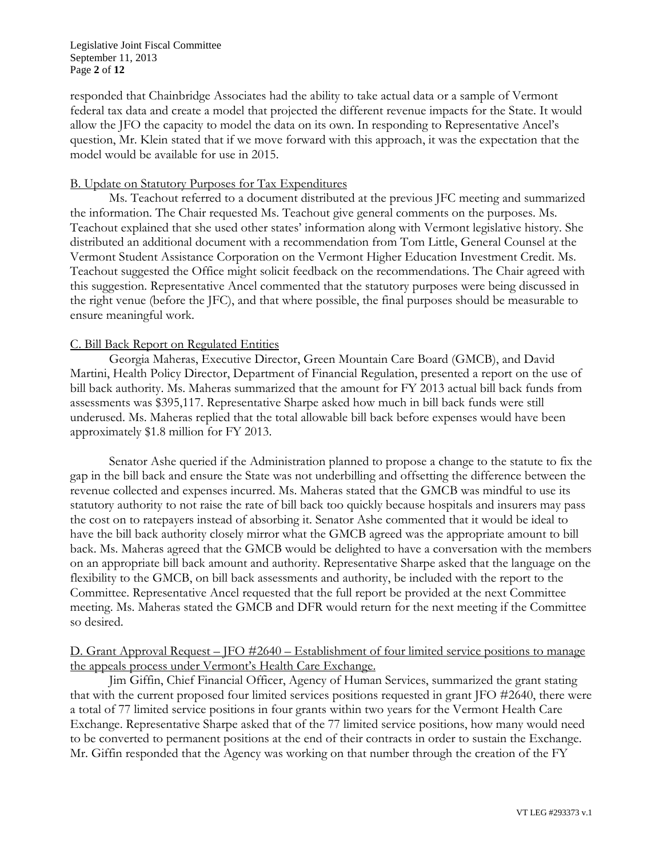Legislative Joint Fiscal Committee September 11, 2013 Page **2** of **12**

responded that Chainbridge Associates had the ability to take actual data or a sample of Vermont federal tax data and create a model that projected the different revenue impacts for the State. It would allow the JFO the capacity to model the data on its own. In responding to Representative Ancel's question, Mr. Klein stated that if we move forward with this approach, it was the expectation that the model would be available for use in 2015.

### B. Update on Statutory Purposes for Tax Expenditures

Ms. Teachout referred to a document distributed at the previous JFC meeting and summarized the information. The Chair requested Ms. Teachout give general comments on the purposes. Ms. Teachout explained that she used other states' information along with Vermont legislative history. She distributed an additional document with a recommendation from Tom Little, General Counsel at the Vermont Student Assistance Corporation on the Vermont Higher Education Investment Credit. Ms. Teachout suggested the Office might solicit feedback on the recommendations. The Chair agreed with this suggestion. Representative Ancel commented that the statutory purposes were being discussed in the right venue (before the JFC), and that where possible, the final purposes should be measurable to ensure meaningful work.

## C. Bill Back Report on Regulated Entities

Georgia Maheras, Executive Director, Green Mountain Care Board (GMCB), and David Martini, Health Policy Director, Department of Financial Regulation, presented a report on the use of bill back authority. Ms. Maheras summarized that the amount for FY 2013 actual bill back funds from assessments was \$395,117. Representative Sharpe asked how much in bill back funds were still underused. Ms. Maheras replied that the total allowable bill back before expenses would have been approximately \$1.8 million for FY 2013.

Senator Ashe queried if the Administration planned to propose a change to the statute to fix the gap in the bill back and ensure the State was not underbilling and offsetting the difference between the revenue collected and expenses incurred. Ms. Maheras stated that the GMCB was mindful to use its statutory authority to not raise the rate of bill back too quickly because hospitals and insurers may pass the cost on to ratepayers instead of absorbing it. Senator Ashe commented that it would be ideal to have the bill back authority closely mirror what the GMCB agreed was the appropriate amount to bill back. Ms. Maheras agreed that the GMCB would be delighted to have a conversation with the members on an appropriate bill back amount and authority. Representative Sharpe asked that the language on the flexibility to the GMCB, on bill back assessments and authority, be included with the report to the Committee. Representative Ancel requested that the full report be provided at the next Committee meeting. Ms. Maheras stated the GMCB and DFR would return for the next meeting if the Committee so desired.

# D. Grant Approval Request – JFO #2640 – Establishment of four limited service positions to manage the appeals process under Vermont's Health Care Exchange.

Jim Giffin, Chief Financial Officer, Agency of Human Services, summarized the grant stating that with the current proposed four limited services positions requested in grant JFO #2640, there were a total of 77 limited service positions in four grants within two years for the Vermont Health Care Exchange. Representative Sharpe asked that of the 77 limited service positions, how many would need to be converted to permanent positions at the end of their contracts in order to sustain the Exchange. Mr. Giffin responded that the Agency was working on that number through the creation of the FY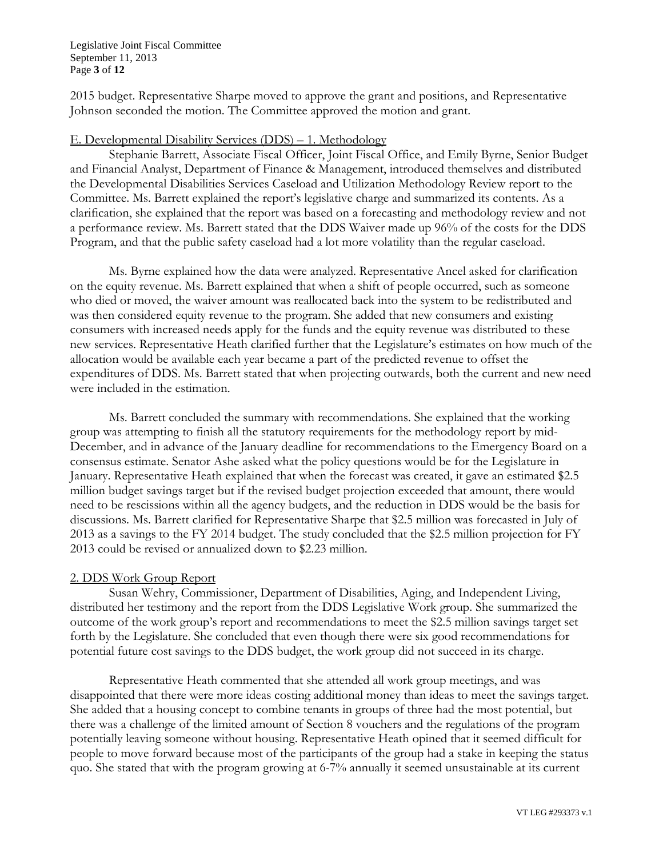Legislative Joint Fiscal Committee September 11, 2013 Page **3** of **12**

2015 budget. Representative Sharpe moved to approve the grant and positions, and Representative Johnson seconded the motion. The Committee approved the motion and grant.

#### E. Developmental Disability Services (DDS) – 1. Methodology

Stephanie Barrett, Associate Fiscal Officer, Joint Fiscal Office, and Emily Byrne, Senior Budget and Financial Analyst, Department of Finance & Management, introduced themselves and distributed the Developmental Disabilities Services Caseload and Utilization Methodology Review report to the Committee. Ms. Barrett explained the report's legislative charge and summarized its contents. As a clarification, she explained that the report was based on a forecasting and methodology review and not a performance review. Ms. Barrett stated that the DDS Waiver made up 96% of the costs for the DDS Program, and that the public safety caseload had a lot more volatility than the regular caseload.

Ms. Byrne explained how the data were analyzed. Representative Ancel asked for clarification on the equity revenue. Ms. Barrett explained that when a shift of people occurred, such as someone who died or moved, the waiver amount was reallocated back into the system to be redistributed and was then considered equity revenue to the program. She added that new consumers and existing consumers with increased needs apply for the funds and the equity revenue was distributed to these new services. Representative Heath clarified further that the Legislature's estimates on how much of the allocation would be available each year became a part of the predicted revenue to offset the expenditures of DDS. Ms. Barrett stated that when projecting outwards, both the current and new need were included in the estimation.

Ms. Barrett concluded the summary with recommendations. She explained that the working group was attempting to finish all the statutory requirements for the methodology report by mid-December, and in advance of the January deadline for recommendations to the Emergency Board on a consensus estimate. Senator Ashe asked what the policy questions would be for the Legislature in January. Representative Heath explained that when the forecast was created, it gave an estimated \$2.5 million budget savings target but if the revised budget projection exceeded that amount, there would need to be rescissions within all the agency budgets, and the reduction in DDS would be the basis for discussions. Ms. Barrett clarified for Representative Sharpe that \$2.5 million was forecasted in July of 2013 as a savings to the FY 2014 budget. The study concluded that the \$2.5 million projection for FY 2013 could be revised or annualized down to \$2.23 million.

### 2. DDS Work Group Report

Susan Wehry, Commissioner, Department of Disabilities, Aging, and Independent Living, distributed her testimony and the report from the DDS Legislative Work group. She summarized the outcome of the work group's report and recommendations to meet the \$2.5 million savings target set forth by the Legislature. She concluded that even though there were six good recommendations for potential future cost savings to the DDS budget, the work group did not succeed in its charge.

Representative Heath commented that she attended all work group meetings, and was disappointed that there were more ideas costing additional money than ideas to meet the savings target. She added that a housing concept to combine tenants in groups of three had the most potential, but there was a challenge of the limited amount of Section 8 vouchers and the regulations of the program potentially leaving someone without housing. Representative Heath opined that it seemed difficult for people to move forward because most of the participants of the group had a stake in keeping the status quo. She stated that with the program growing at 6-7% annually it seemed unsustainable at its current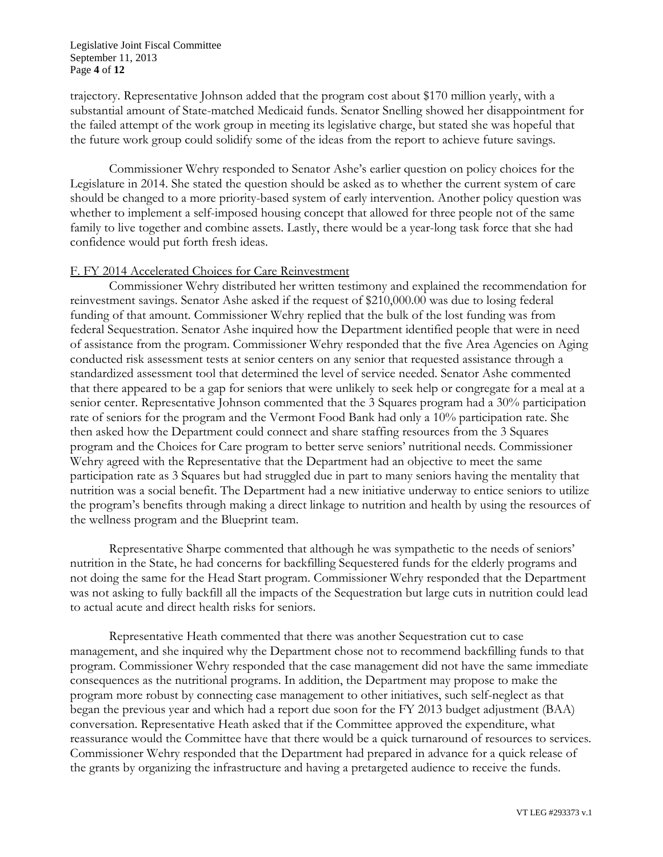#### Legislative Joint Fiscal Committee September 11, 2013 Page **4** of **12**

trajectory. Representative Johnson added that the program cost about \$170 million yearly, with a substantial amount of State-matched Medicaid funds. Senator Snelling showed her disappointment for the failed attempt of the work group in meeting its legislative charge, but stated she was hopeful that the future work group could solidify some of the ideas from the report to achieve future savings.

Commissioner Wehry responded to Senator Ashe's earlier question on policy choices for the Legislature in 2014. She stated the question should be asked as to whether the current system of care should be changed to a more priority-based system of early intervention. Another policy question was whether to implement a self-imposed housing concept that allowed for three people not of the same family to live together and combine assets. Lastly, there would be a year-long task force that she had confidence would put forth fresh ideas.

### F. FY 2014 Accelerated Choices for Care Reinvestment

Commissioner Wehry distributed her written testimony and explained the recommendation for reinvestment savings. Senator Ashe asked if the request of \$210,000.00 was due to losing federal funding of that amount. Commissioner Wehry replied that the bulk of the lost funding was from federal Sequestration. Senator Ashe inquired how the Department identified people that were in need of assistance from the program. Commissioner Wehry responded that the five Area Agencies on Aging conducted risk assessment tests at senior centers on any senior that requested assistance through a standardized assessment tool that determined the level of service needed. Senator Ashe commented that there appeared to be a gap for seniors that were unlikely to seek help or congregate for a meal at a senior center. Representative Johnson commented that the 3 Squares program had a 30% participation rate of seniors for the program and the Vermont Food Bank had only a 10% participation rate. She then asked how the Department could connect and share staffing resources from the 3 Squares program and the Choices for Care program to better serve seniors' nutritional needs. Commissioner Wehry agreed with the Representative that the Department had an objective to meet the same participation rate as 3 Squares but had struggled due in part to many seniors having the mentality that nutrition was a social benefit. The Department had a new initiative underway to entice seniors to utilize the program's benefits through making a direct linkage to nutrition and health by using the resources of the wellness program and the Blueprint team.

Representative Sharpe commented that although he was sympathetic to the needs of seniors' nutrition in the State, he had concerns for backfilling Sequestered funds for the elderly programs and not doing the same for the Head Start program. Commissioner Wehry responded that the Department was not asking to fully backfill all the impacts of the Sequestration but large cuts in nutrition could lead to actual acute and direct health risks for seniors.

Representative Heath commented that there was another Sequestration cut to case management, and she inquired why the Department chose not to recommend backfilling funds to that program. Commissioner Wehry responded that the case management did not have the same immediate consequences as the nutritional programs. In addition, the Department may propose to make the program more robust by connecting case management to other initiatives, such self-neglect as that began the previous year and which had a report due soon for the FY 2013 budget adjustment (BAA) conversation. Representative Heath asked that if the Committee approved the expenditure, what reassurance would the Committee have that there would be a quick turnaround of resources to services. Commissioner Wehry responded that the Department had prepared in advance for a quick release of the grants by organizing the infrastructure and having a pretargeted audience to receive the funds.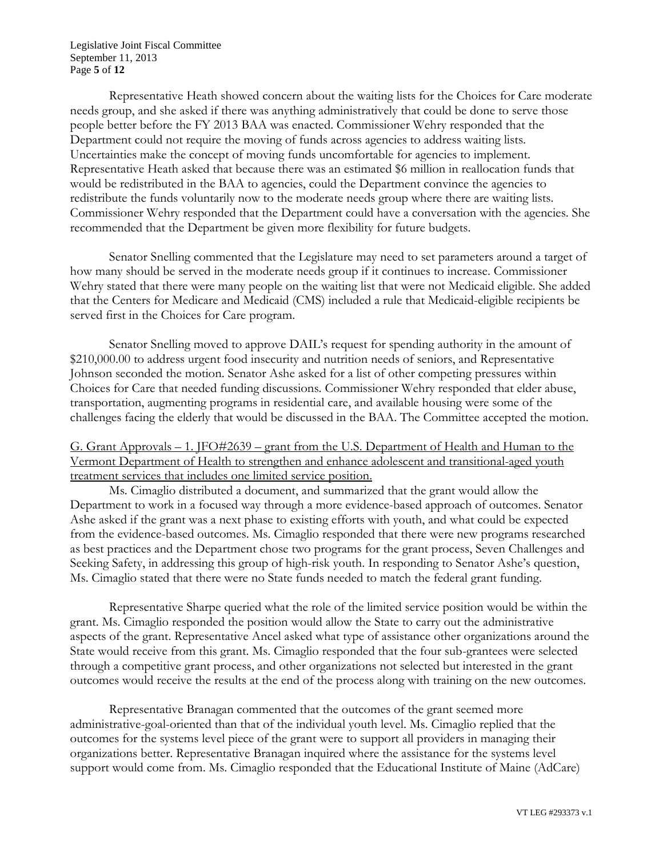Legislative Joint Fiscal Committee September 11, 2013 Page **5** of **12**

Representative Heath showed concern about the waiting lists for the Choices for Care moderate needs group, and she asked if there was anything administratively that could be done to serve those people better before the FY 2013 BAA was enacted. Commissioner Wehry responded that the Department could not require the moving of funds across agencies to address waiting lists. Uncertainties make the concept of moving funds uncomfortable for agencies to implement. Representative Heath asked that because there was an estimated \$6 million in reallocation funds that would be redistributed in the BAA to agencies, could the Department convince the agencies to redistribute the funds voluntarily now to the moderate needs group where there are waiting lists. Commissioner Wehry responded that the Department could have a conversation with the agencies. She recommended that the Department be given more flexibility for future budgets.

Senator Snelling commented that the Legislature may need to set parameters around a target of how many should be served in the moderate needs group if it continues to increase. Commissioner Wehry stated that there were many people on the waiting list that were not Medicaid eligible. She added that the Centers for Medicare and Medicaid (CMS) included a rule that Medicaid-eligible recipients be served first in the Choices for Care program.

Senator Snelling moved to approve DAIL's request for spending authority in the amount of \$210,000.00 to address urgent food insecurity and nutrition needs of seniors, and Representative Johnson seconded the motion. Senator Ashe asked for a list of other competing pressures within Choices for Care that needed funding discussions. Commissioner Wehry responded that elder abuse, transportation, augmenting programs in residential care, and available housing were some of the challenges facing the elderly that would be discussed in the BAA. The Committee accepted the motion.

G. Grant Approvals – 1. JFO#2639 – grant from the U.S. Department of Health and Human to the Vermont Department of Health to strengthen and enhance adolescent and transitional-aged youth treatment services that includes one limited service position.

Ms. Cimaglio distributed a document, and summarized that the grant would allow the Department to work in a focused way through a more evidence-based approach of outcomes. Senator Ashe asked if the grant was a next phase to existing efforts with youth, and what could be expected from the evidence-based outcomes. Ms. Cimaglio responded that there were new programs researched as best practices and the Department chose two programs for the grant process, Seven Challenges and Seeking Safety, in addressing this group of high-risk youth. In responding to Senator Ashe's question, Ms. Cimaglio stated that there were no State funds needed to match the federal grant funding.

Representative Sharpe queried what the role of the limited service position would be within the grant. Ms. Cimaglio responded the position would allow the State to carry out the administrative aspects of the grant. Representative Ancel asked what type of assistance other organizations around the State would receive from this grant. Ms. Cimaglio responded that the four sub-grantees were selected through a competitive grant process, and other organizations not selected but interested in the grant outcomes would receive the results at the end of the process along with training on the new outcomes.

Representative Branagan commented that the outcomes of the grant seemed more administrative-goal-oriented than that of the individual youth level. Ms. Cimaglio replied that the outcomes for the systems level piece of the grant were to support all providers in managing their organizations better. Representative Branagan inquired where the assistance for the systems level support would come from. Ms. Cimaglio responded that the Educational Institute of Maine (AdCare)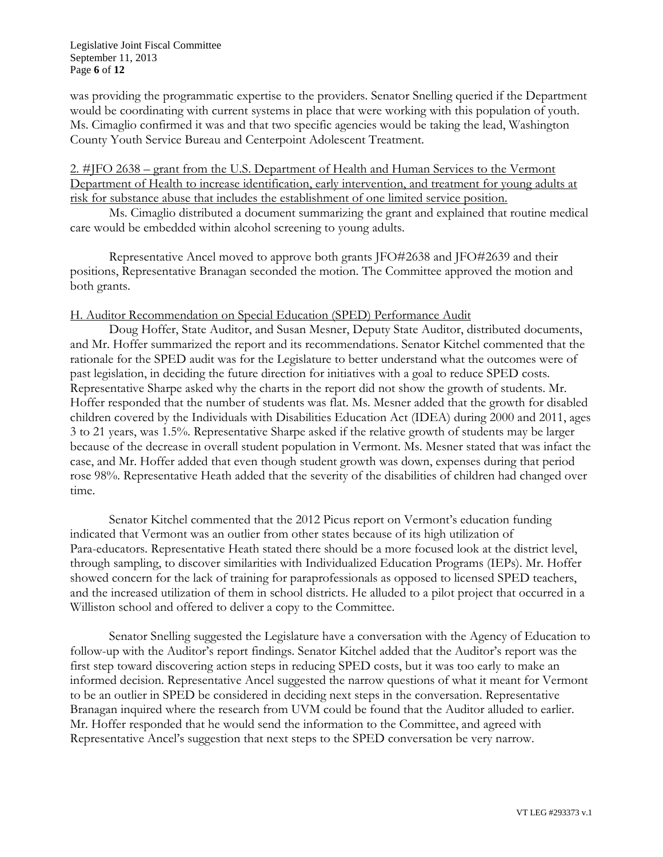was providing the programmatic expertise to the providers. Senator Snelling queried if the Department would be coordinating with current systems in place that were working with this population of youth. Ms. Cimaglio confirmed it was and that two specific agencies would be taking the lead, Washington County Youth Service Bureau and Centerpoint Adolescent Treatment.

2. #JFO 2638 – grant from the U.S. Department of Health and Human Services to the Vermont Department of Health to increase identification, early intervention, and treatment for young adults at risk for substance abuse that includes the establishment of one limited service position.

Ms. Cimaglio distributed a document summarizing the grant and explained that routine medical care would be embedded within alcohol screening to young adults.

Representative Ancel moved to approve both grants JFO#2638 and JFO#2639 and their positions, Representative Branagan seconded the motion. The Committee approved the motion and both grants.

## H. Auditor Recommendation on Special Education (SPED) Performance Audit

Doug Hoffer, State Auditor, and Susan Mesner, Deputy State Auditor, distributed documents, and Mr. Hoffer summarized the report and its recommendations. Senator Kitchel commented that the rationale for the SPED audit was for the Legislature to better understand what the outcomes were of past legislation, in deciding the future direction for initiatives with a goal to reduce SPED costs. Representative Sharpe asked why the charts in the report did not show the growth of students. Mr. Hoffer responded that the number of students was flat. Ms. Mesner added that the growth for disabled children covered by the Individuals with Disabilities Education Act (IDEA) during 2000 and 2011, ages 3 to 21 years, was 1.5%. Representative Sharpe asked if the relative growth of students may be larger because of the decrease in overall student population in Vermont. Ms. Mesner stated that was infact the case, and Mr. Hoffer added that even though student growth was down, expenses during that period rose 98%. Representative Heath added that the severity of the disabilities of children had changed over time.

Senator Kitchel commented that the 2012 Picus report on Vermont's education funding indicated that Vermont was an outlier from other states because of its high utilization of Para-educators. Representative Heath stated there should be a more focused look at the district level, through sampling, to discover similarities with Individualized Education Programs (IEPs). Mr. Hoffer showed concern for the lack of training for paraprofessionals as opposed to licensed SPED teachers, and the increased utilization of them in school districts. He alluded to a pilot project that occurred in a Williston school and offered to deliver a copy to the Committee.

Senator Snelling suggested the Legislature have a conversation with the Agency of Education to follow-up with the Auditor's report findings. Senator Kitchel added that the Auditor's report was the first step toward discovering action steps in reducing SPED costs, but it was too early to make an informed decision. Representative Ancel suggested the narrow questions of what it meant for Vermont to be an outlier in SPED be considered in deciding next steps in the conversation. Representative Branagan inquired where the research from UVM could be found that the Auditor alluded to earlier. Mr. Hoffer responded that he would send the information to the Committee, and agreed with Representative Ancel's suggestion that next steps to the SPED conversation be very narrow.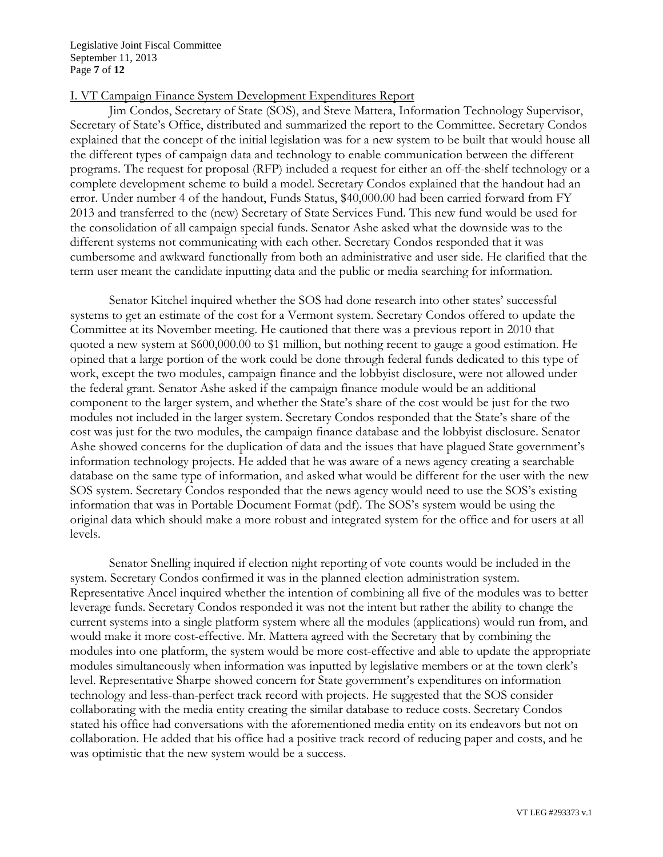Legislative Joint Fiscal Committee September 11, 2013 Page **7** of **12**

### I. VT Campaign Finance System Development Expenditures Report

Jim Condos, Secretary of State (SOS), and Steve Mattera, Information Technology Supervisor, Secretary of State's Office, distributed and summarized the report to the Committee. Secretary Condos explained that the concept of the initial legislation was for a new system to be built that would house all the different types of campaign data and technology to enable communication between the different programs. The request for proposal (RFP) included a request for either an off-the-shelf technology or a complete development scheme to build a model. Secretary Condos explained that the handout had an error. Under number 4 of the handout, Funds Status, \$40,000.00 had been carried forward from FY 2013 and transferred to the (new) Secretary of State Services Fund. This new fund would be used for the consolidation of all campaign special funds. Senator Ashe asked what the downside was to the different systems not communicating with each other. Secretary Condos responded that it was cumbersome and awkward functionally from both an administrative and user side. He clarified that the term user meant the candidate inputting data and the public or media searching for information.

Senator Kitchel inquired whether the SOS had done research into other states' successful systems to get an estimate of the cost for a Vermont system. Secretary Condos offered to update the Committee at its November meeting. He cautioned that there was a previous report in 2010 that quoted a new system at \$600,000.00 to \$1 million, but nothing recent to gauge a good estimation. He opined that a large portion of the work could be done through federal funds dedicated to this type of work, except the two modules, campaign finance and the lobbyist disclosure, were not allowed under the federal grant. Senator Ashe asked if the campaign finance module would be an additional component to the larger system, and whether the State's share of the cost would be just for the two modules not included in the larger system. Secretary Condos responded that the State's share of the cost was just for the two modules, the campaign finance database and the lobbyist disclosure. Senator Ashe showed concerns for the duplication of data and the issues that have plagued State government's information technology projects. He added that he was aware of a news agency creating a searchable database on the same type of information, and asked what would be different for the user with the new SOS system. Secretary Condos responded that the news agency would need to use the SOS's existing information that was in Portable Document Format (pdf). The SOS's system would be using the original data which should make a more robust and integrated system for the office and for users at all levels.

Senator Snelling inquired if election night reporting of vote counts would be included in the system. Secretary Condos confirmed it was in the planned election administration system. Representative Ancel inquired whether the intention of combining all five of the modules was to better leverage funds. Secretary Condos responded it was not the intent but rather the ability to change the current systems into a single platform system where all the modules (applications) would run from, and would make it more cost-effective. Mr. Mattera agreed with the Secretary that by combining the modules into one platform, the system would be more cost-effective and able to update the appropriate modules simultaneously when information was inputted by legislative members or at the town clerk's level. Representative Sharpe showed concern for State government's expenditures on information technology and less-than-perfect track record with projects. He suggested that the SOS consider collaborating with the media entity creating the similar database to reduce costs. Secretary Condos stated his office had conversations with the aforementioned media entity on its endeavors but not on collaboration. He added that his office had a positive track record of reducing paper and costs, and he was optimistic that the new system would be a success.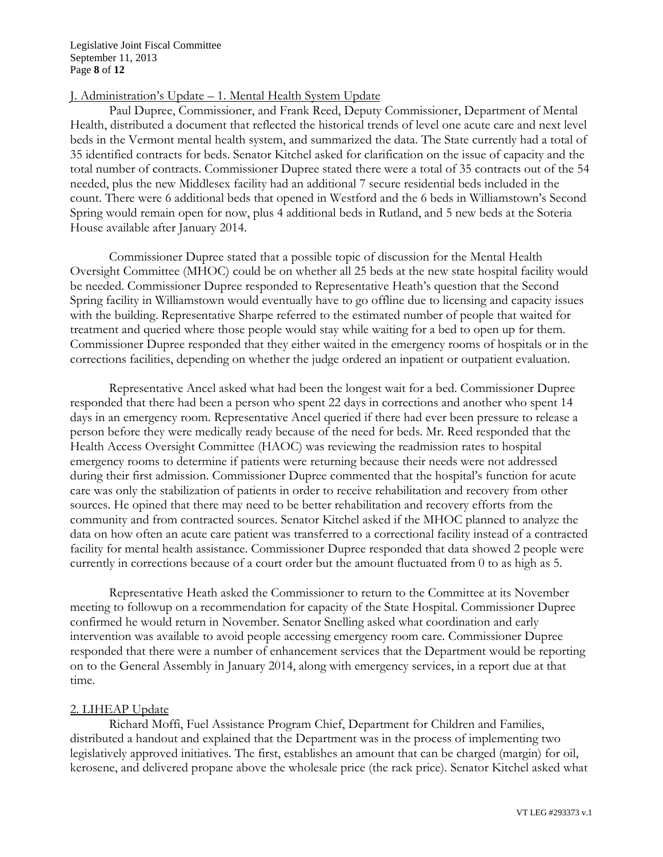Legislative Joint Fiscal Committee September 11, 2013 Page **8** of **12**

## J. Administration's Update – 1. Mental Health System Update

Paul Dupree, Commissioner, and Frank Reed, Deputy Commissioner, Department of Mental Health, distributed a document that reflected the historical trends of level one acute care and next level beds in the Vermont mental health system, and summarized the data. The State currently had a total of 35 identified contracts for beds. Senator Kitchel asked for clarification on the issue of capacity and the total number of contracts. Commissioner Dupree stated there were a total of 35 contracts out of the 54 needed, plus the new Middlesex facility had an additional 7 secure residential beds included in the count. There were 6 additional beds that opened in Westford and the 6 beds in Williamstown's Second Spring would remain open for now, plus 4 additional beds in Rutland, and 5 new beds at the Soteria House available after January 2014.

Commissioner Dupree stated that a possible topic of discussion for the Mental Health Oversight Committee (MHOC) could be on whether all 25 beds at the new state hospital facility would be needed. Commissioner Dupree responded to Representative Heath's question that the Second Spring facility in Williamstown would eventually have to go offline due to licensing and capacity issues with the building. Representative Sharpe referred to the estimated number of people that waited for treatment and queried where those people would stay while waiting for a bed to open up for them. Commissioner Dupree responded that they either waited in the emergency rooms of hospitals or in the corrections facilities, depending on whether the judge ordered an inpatient or outpatient evaluation.

Representative Ancel asked what had been the longest wait for a bed. Commissioner Dupree responded that there had been a person who spent 22 days in corrections and another who spent 14 days in an emergency room. Representative Ancel queried if there had ever been pressure to release a person before they were medically ready because of the need for beds. Mr. Reed responded that the Health Access Oversight Committee (HAOC) was reviewing the readmission rates to hospital emergency rooms to determine if patients were returning because their needs were not addressed during their first admission. Commissioner Dupree commented that the hospital's function for acute care was only the stabilization of patients in order to receive rehabilitation and recovery from other sources. He opined that there may need to be better rehabilitation and recovery efforts from the community and from contracted sources. Senator Kitchel asked if the MHOC planned to analyze the data on how often an acute care patient was transferred to a correctional facility instead of a contracted facility for mental health assistance. Commissioner Dupree responded that data showed 2 people were currently in corrections because of a court order but the amount fluctuated from 0 to as high as 5.

Representative Heath asked the Commissioner to return to the Committee at its November meeting to followup on a recommendation for capacity of the State Hospital. Commissioner Dupree confirmed he would return in November. Senator Snelling asked what coordination and early intervention was available to avoid people accessing emergency room care. Commissioner Dupree responded that there were a number of enhancement services that the Department would be reporting on to the General Assembly in January 2014, along with emergency services, in a report due at that time.

### 2. LIHEAP Update

Richard Moffi, Fuel Assistance Program Chief, Department for Children and Families, distributed a handout and explained that the Department was in the process of implementing two legislatively approved initiatives. The first, establishes an amount that can be charged (margin) for oil, kerosene, and delivered propane above the wholesale price (the rack price). Senator Kitchel asked what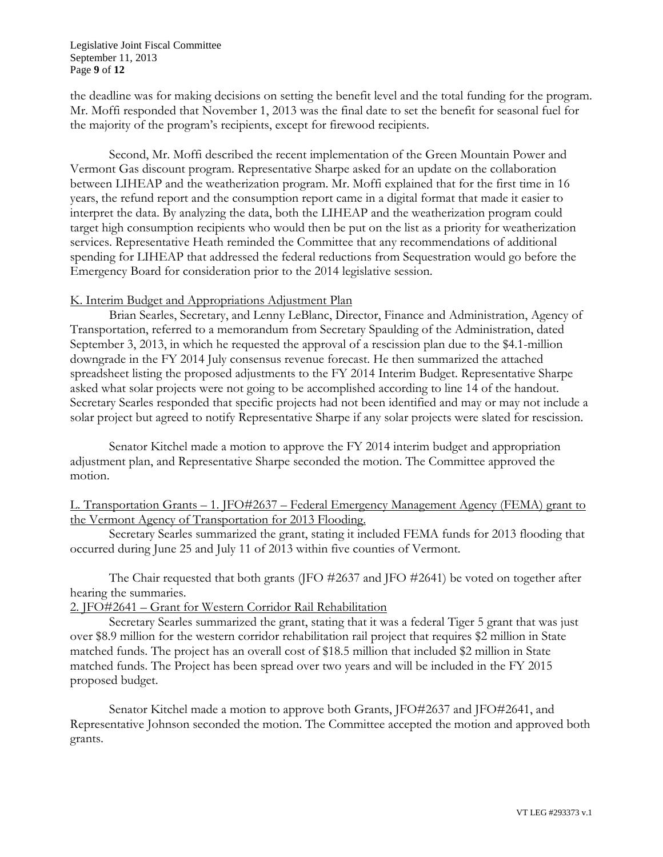#### Legislative Joint Fiscal Committee September 11, 2013 Page **9** of **12**

the deadline was for making decisions on setting the benefit level and the total funding for the program. Mr. Moffi responded that November 1, 2013 was the final date to set the benefit for seasonal fuel for the majority of the program's recipients, except for firewood recipients.

Second, Mr. Moffi described the recent implementation of the Green Mountain Power and Vermont Gas discount program. Representative Sharpe asked for an update on the collaboration between LIHEAP and the weatherization program. Mr. Moffi explained that for the first time in 16 years, the refund report and the consumption report came in a digital format that made it easier to interpret the data. By analyzing the data, both the LIHEAP and the weatherization program could target high consumption recipients who would then be put on the list as a priority for weatherization services. Representative Heath reminded the Committee that any recommendations of additional spending for LIHEAP that addressed the federal reductions from Sequestration would go before the Emergency Board for consideration prior to the 2014 legislative session.

## K. Interim Budget and Appropriations Adjustment Plan

Brian Searles, Secretary, and Lenny LeBlanc, Director, Finance and Administration, Agency of Transportation, referred to a memorandum from Secretary Spaulding of the Administration, dated September 3, 2013, in which he requested the approval of a rescission plan due to the \$4.1-million downgrade in the FY 2014 July consensus revenue forecast. He then summarized the attached spreadsheet listing the proposed adjustments to the FY 2014 Interim Budget. Representative Sharpe asked what solar projects were not going to be accomplished according to line 14 of the handout. Secretary Searles responded that specific projects had not been identified and may or may not include a solar project but agreed to notify Representative Sharpe if any solar projects were slated for rescission.

Senator Kitchel made a motion to approve the FY 2014 interim budget and appropriation adjustment plan, and Representative Sharpe seconded the motion. The Committee approved the motion.

## L. Transportation Grants – 1. JFO#2637 – Federal Emergency Management Agency (FEMA) grant to the Vermont Agency of Transportation for 2013 Flooding.

Secretary Searles summarized the grant, stating it included FEMA funds for 2013 flooding that occurred during June 25 and July 11 of 2013 within five counties of Vermont.

The Chair requested that both grants (JFO #2637 and JFO #2641) be voted on together after hearing the summaries.

2. JFO#2641 – Grant for Western Corridor Rail Rehabilitation

Secretary Searles summarized the grant, stating that it was a federal Tiger 5 grant that was just over \$8.9 million for the western corridor rehabilitation rail project that requires \$2 million in State matched funds. The project has an overall cost of \$18.5 million that included \$2 million in State matched funds. The Project has been spread over two years and will be included in the FY 2015 proposed budget.

Senator Kitchel made a motion to approve both Grants, JFO#2637 and JFO#2641, and Representative Johnson seconded the motion. The Committee accepted the motion and approved both grants.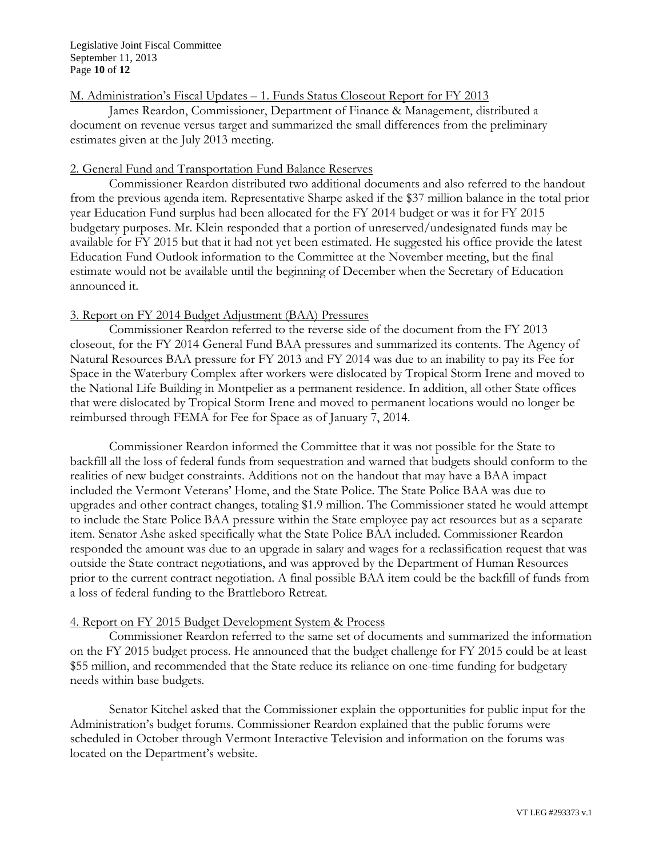#### Legislative Joint Fiscal Committee September 11, 2013 Page **10** of **12**

## M. Administration's Fiscal Updates – 1. Funds Status Closeout Report for FY 2013

James Reardon, Commissioner, Department of Finance & Management, distributed a document on revenue versus target and summarized the small differences from the preliminary estimates given at the July 2013 meeting.

### 2. General Fund and Transportation Fund Balance Reserves

Commissioner Reardon distributed two additional documents and also referred to the handout from the previous agenda item. Representative Sharpe asked if the \$37 million balance in the total prior year Education Fund surplus had been allocated for the FY 2014 budget or was it for FY 2015 budgetary purposes. Mr. Klein responded that a portion of unreserved/undesignated funds may be available for FY 2015 but that it had not yet been estimated. He suggested his office provide the latest Education Fund Outlook information to the Committee at the November meeting, but the final estimate would not be available until the beginning of December when the Secretary of Education announced it.

# 3. Report on FY 2014 Budget Adjustment (BAA) Pressures

Commissioner Reardon referred to the reverse side of the document from the FY 2013 closeout, for the FY 2014 General Fund BAA pressures and summarized its contents. The Agency of Natural Resources BAA pressure for FY 2013 and FY 2014 was due to an inability to pay its Fee for Space in the Waterbury Complex after workers were dislocated by Tropical Storm Irene and moved to the National Life Building in Montpelier as a permanent residence. In addition, all other State offices that were dislocated by Tropical Storm Irene and moved to permanent locations would no longer be reimbursed through FEMA for Fee for Space as of January 7, 2014.

Commissioner Reardon informed the Committee that it was not possible for the State to backfill all the loss of federal funds from sequestration and warned that budgets should conform to the realities of new budget constraints. Additions not on the handout that may have a BAA impact included the Vermont Veterans' Home, and the State Police. The State Police BAA was due to upgrades and other contract changes, totaling \$1.9 million. The Commissioner stated he would attempt to include the State Police BAA pressure within the State employee pay act resources but as a separate item. Senator Ashe asked specifically what the State Police BAA included. Commissioner Reardon responded the amount was due to an upgrade in salary and wages for a reclassification request that was outside the State contract negotiations, and was approved by the Department of Human Resources prior to the current contract negotiation. A final possible BAA item could be the backfill of funds from a loss of federal funding to the Brattleboro Retreat.

### 4. Report on FY 2015 Budget Development System & Process

Commissioner Reardon referred to the same set of documents and summarized the information on the FY 2015 budget process. He announced that the budget challenge for FY 2015 could be at least \$55 million, and recommended that the State reduce its reliance on one-time funding for budgetary needs within base budgets.

Senator Kitchel asked that the Commissioner explain the opportunities for public input for the Administration's budget forums. Commissioner Reardon explained that the public forums were scheduled in October through Vermont Interactive Television and information on the forums was located on the Department's website.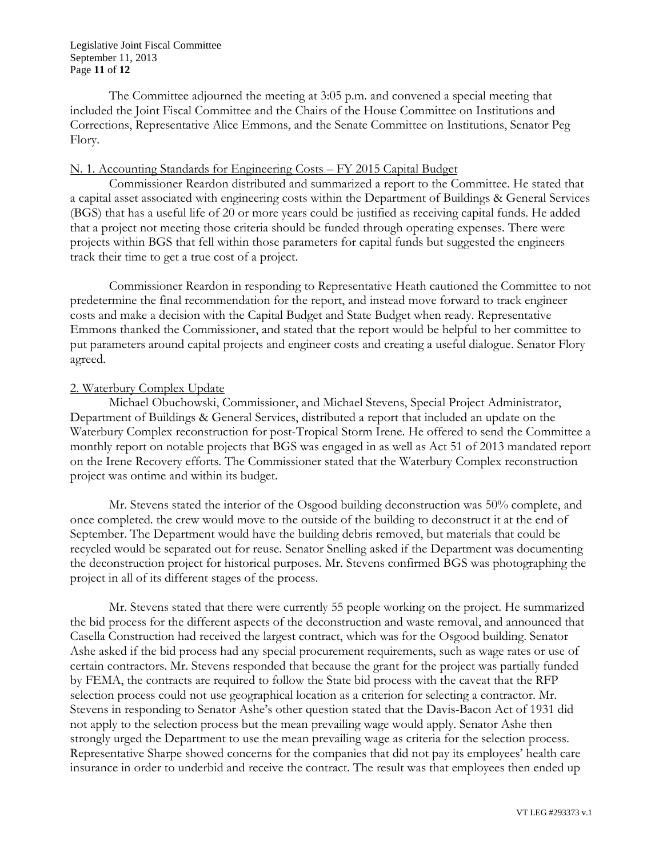#### Legislative Joint Fiscal Committee September 11, 2013 Page **11** of **12**

The Committee adjourned the meeting at 3:05 p.m. and convened a special meeting that included the Joint Fiscal Committee and the Chairs of the House Committee on Institutions and Corrections, Representative Alice Emmons, and the Senate Committee on Institutions, Senator Peg Flory.

## N. 1. Accounting Standards for Engineering Costs – FY 2015 Capital Budget

Commissioner Reardon distributed and summarized a report to the Committee. He stated that a capital asset associated with engineering costs within the Department of Buildings & General Services (BGS) that has a useful life of 20 or more years could be justified as receiving capital funds. He added that a project not meeting those criteria should be funded through operating expenses. There were projects within BGS that fell within those parameters for capital funds but suggested the engineers track their time to get a true cost of a project.

Commissioner Reardon in responding to Representative Heath cautioned the Committee to not predetermine the final recommendation for the report, and instead move forward to track engineer costs and make a decision with the Capital Budget and State Budget when ready. Representative Emmons thanked the Commissioner, and stated that the report would be helpful to her committee to put parameters around capital projects and engineer costs and creating a useful dialogue. Senator Flory agreed.

## 2. Waterbury Complex Update

Michael Obuchowski, Commissioner, and Michael Stevens, Special Project Administrator, Department of Buildings & General Services, distributed a report that included an update on the Waterbury Complex reconstruction for post-Tropical Storm Irene. He offered to send the Committee a monthly report on notable projects that BGS was engaged in as well as Act 51 of 2013 mandated report on the Irene Recovery efforts. The Commissioner stated that the Waterbury Complex reconstruction project was ontime and within its budget.

Mr. Stevens stated the interior of the Osgood building deconstruction was 50% complete, and once completed. the crew would move to the outside of the building to deconstruct it at the end of September. The Department would have the building debris removed, but materials that could be recycled would be separated out for reuse. Senator Snelling asked if the Department was documenting the deconstruction project for historical purposes. Mr. Stevens confirmed BGS was photographing the project in all of its different stages of the process.

Mr. Stevens stated that there were currently 55 people working on the project. He summarized the bid process for the different aspects of the deconstruction and waste removal, and announced that Casella Construction had received the largest contract, which was for the Osgood building. Senator Ashe asked if the bid process had any special procurement requirements, such as wage rates or use of certain contractors. Mr. Stevens responded that because the grant for the project was partially funded by FEMA, the contracts are required to follow the State bid process with the caveat that the RFP selection process could not use geographical location as a criterion for selecting a contractor. Mr. Stevens in responding to Senator Ashe's other question stated that the Davis-Bacon Act of 1931 did not apply to the selection process but the mean prevailing wage would apply. Senator Ashe then strongly urged the Department to use the mean prevailing wage as criteria for the selection process. Representative Sharpe showed concerns for the companies that did not pay its employees' health care insurance in order to underbid and receive the contract. The result was that employees then ended up